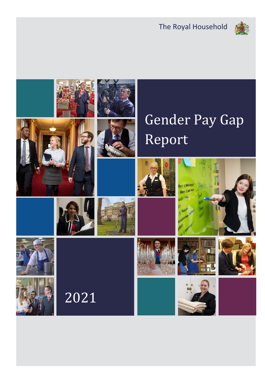The Royal Household



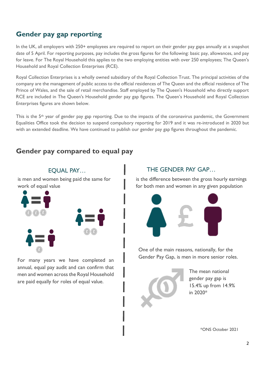### **Gender pay gap reporting**

In the UK, all employers with 250+ employees are required to report on their gender pay gaps annually at a snapshot date of 5 April. For reporting purposes, pay includes the gross figures for the following: basic pay, allowances, and pay for leave. For The Royal Household this applies to the two employing entities with over 250 employees; The Queen's Household and Royal Collection Enterprises (RCE).

Royal Collection Enterprises is a wholly owned subsidiary of the Royal Collection Trust. The principal activities of the company are the management of public access to the official residences of The Queen and the official residence of The Prince of Wales, and the sale of retail merchandise. Staff employed by The Queen's Household who directly support RCE are included in The Queen's Household gender pay gap figures. The Queen's Household and Royal Collection Enterprises figures are shown below.

This is the  $5<sup>th</sup>$  year of gender pay gap reporting. Due to the impacts of the coronavirus pandemic, the Government Equalities Office took the decision to suspend compulsory reporting for 2019 and it was re-introduced in 2020 but with an extended deadline. We have continued to publish our gender pay gap figures throughout the pandemic.

#### **Gender pay compared to equal pay**



For many years we have completed an annual, equal pay audit and can confirm that men and women across the Royal Household are paid equally for roles of equal value.

#### EQUAL PAY... THE GENDER PAY GAP...

is the difference between the gross hourly earnings for both men and women in any given population



One of the main reasons, nationally, for the Gender Pay Gap, is men in more senior roles.



The mean national gender pay gap is 15.4% up from 14.9% in 2020\*

\*ONS October 2021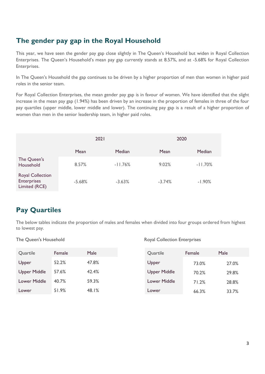# **The gender pay gap in the Royal Household**

This year, we have seen the gender pay gap close slightly in The Queen's Household but widen in Royal Collection Enterprises. The Queen's Household's mean pay gap currently stands at 8.57%, and at -5.68% for Royal Collection Enterprises.

In The Queen's Household the gap continues to be driven by a higher proportion of men than women in higher paid roles in the senior team.

For Royal Collection Enterprises, the mean gender pay gap is in favour of women. We have identified that the slight increase in the mean pay gap (1.94%) has been driven by an increase in the proportion of females in three of the four pay quartiles (upper middle, lower middle and lower). The continuing pay gap is a result of a higher proportion of women than men in the senior leadership team, in higher paid roles.

|                                                                | 2021     |           | 2020     |           |  |
|----------------------------------------------------------------|----------|-----------|----------|-----------|--|
|                                                                | Mean     | Median    | Mean     | Median    |  |
| The Queen's<br>Household                                       | 8.57%    | $-11.76%$ | 9.02%    | $-11.70%$ |  |
| <b>Royal Collection</b><br><b>Enterprises</b><br>Limited (RCE) | $-5.68%$ | $-3.63%$  | $-3.74%$ | $-1.90%$  |  |

# **Pay Quartiles**

The below tables indicate the proportion of males and females when divided into four groups ordered from highest to lowest pay.

#### The Queen's Household **Royal Collection Enterprises**

| Quartile            | Female | Male  | Quartile            | Female | Male  |
|---------------------|--------|-------|---------------------|--------|-------|
| Upper               | 52.2%  | 47.8% | Upper               | 73.0%  | 27.0% |
| <b>Upper Middle</b> | 57.6%  | 42.4% | <b>Upper Middle</b> | 70.2%  | 29.8% |
| <b>Lower Middle</b> | 40.7%  | 59.3% | Lower Middle        | 71.2%  | 28.8% |
| Lower               | 51.9%  | 48.1% | Lower               | 66.3%  | 33.7% |